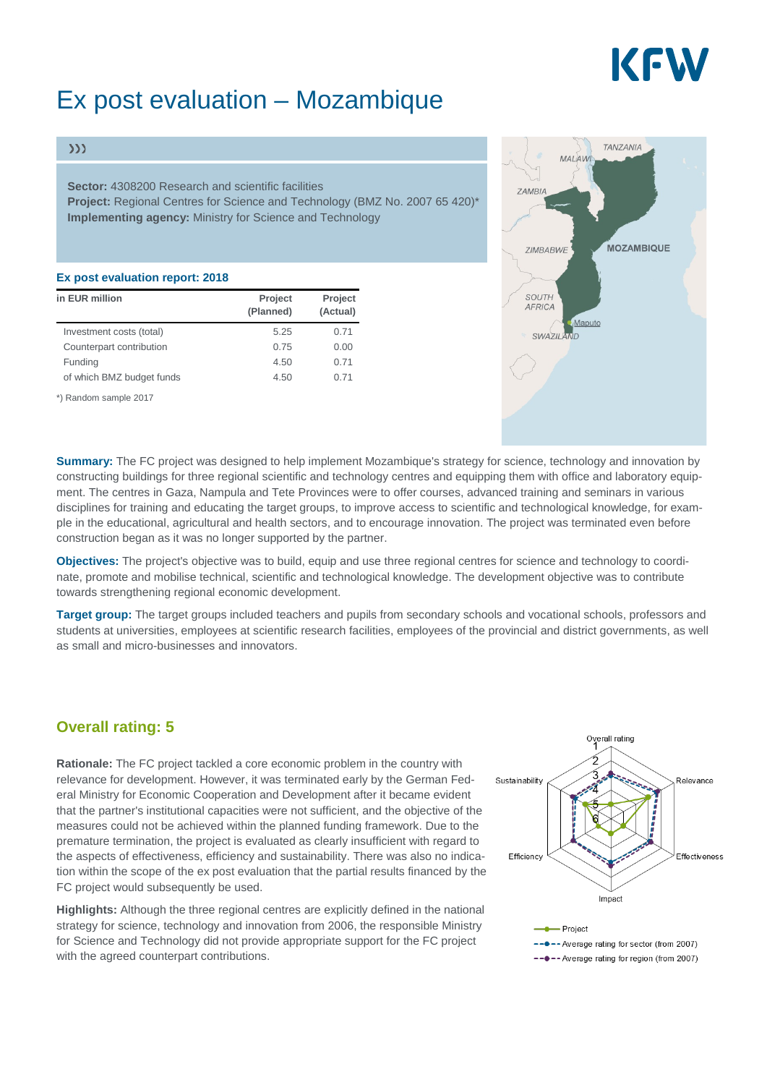# KEW

## Ex post evaluation – Mozambique

#### $\gg$

**Sector:** 4308200 Research and scientific facilities **Project:** Regional Centres for Science and Technology (BMZ No. 2007 65 420)\* **Implementing agency:** Ministry for Science and Technology

#### **Ex post evaluation report: 2018**

| in EUR million            | Project<br>(Planned) | Project<br>(Actual) |
|---------------------------|----------------------|---------------------|
| Investment costs (total)  | 5.25                 | 0.71                |
| Counterpart contribution  | 0.75                 | 0.00                |
| Funding                   | 4.50                 | 0.71                |
| of which BMZ budget funds | 4.50                 | 0.71                |

\*) Random sample 2017



**Summary:** The FC project was designed to help implement Mozambique's strategy for science, technology and innovation by constructing buildings for three regional scientific and technology centres and equipping them with office and laboratory equipment. The centres in Gaza, Nampula and Tete Provinces were to offer courses, advanced training and seminars in various disciplines for training and educating the target groups, to improve access to scientific and technological knowledge, for example in the educational, agricultural and health sectors, and to encourage innovation. The project was terminated even before construction began as it was no longer supported by the partner.

**Objectives:** The project's objective was to build, equip and use three regional centres for science and technology to coordinate, promote and mobilise technical, scientific and technological knowledge. The development objective was to contribute towards strengthening regional economic development.

**Target group:** The target groups included teachers and pupils from secondary schools and vocational schools, professors and students at universities, employees at scientific research facilities, employees of the provincial and district governments, as well as small and micro-businesses and innovators.

### **Overall rating: 5**

**Rationale:** The FC project tackled a core economic problem in the country with relevance for development. However, it was terminated early by the German Federal Ministry for Economic Cooperation and Development after it became evident that the partner's institutional capacities were not sufficient, and the objective of the measures could not be achieved within the planned funding framework. Due to the premature termination, the project is evaluated as clearly insufficient with regard to the aspects of effectiveness, efficiency and sustainability. There was also no indication within the scope of the ex post evaluation that the partial results financed by the FC project would subsequently be used.

**Highlights:** Although the three regional centres are explicitly defined in the national strategy for science, technology and innovation from 2006, the responsible Ministry for Science and Technology did not provide appropriate support for the FC project with the agreed counterpart contributions.

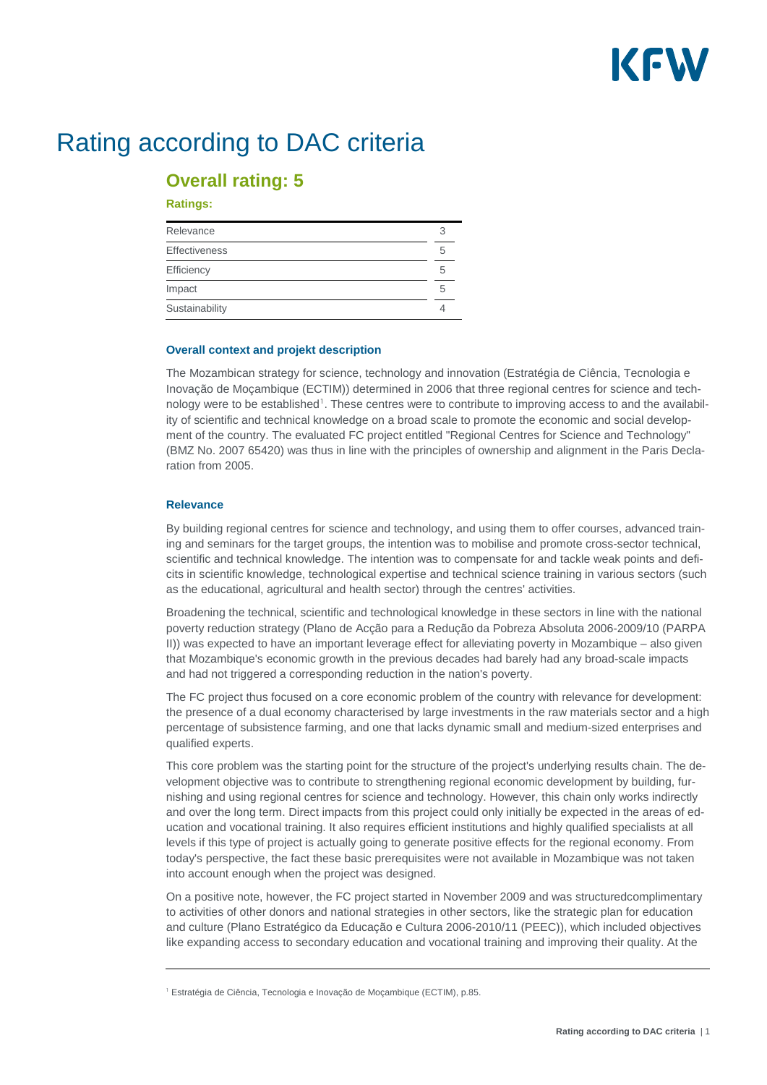# KFW

## Rating according to DAC criteria

### **Overall rating: 5**

#### **Ratings:**

| Relevance            |   |
|----------------------|---|
| <b>Effectiveness</b> |   |
| Efficiency           | 5 |
| Impact               | h |
| Sustainability       |   |

#### **Overall context and projekt description**

The Mozambican strategy for science, technology and innovation (Estratégia de Ciência, Tecnologia e Inovação de Moçambique (ECTIM)) determined in 2006 that three regional centres for science and tech-nology were to be established<sup>[1](#page-1-0)</sup>. These centres were to contribute to improving access to and the availability of scientific and technical knowledge on a broad scale to promote the economic and social development of the country. The evaluated FC project entitled "Regional Centres for Science and Technology" (BMZ No. 2007 65420) was thus in line with the principles of ownership and alignment in the Paris Declaration from 2005.

#### **Relevance**

By building regional centres for science and technology, and using them to offer courses, advanced training and seminars for the target groups, the intention was to mobilise and promote cross-sector technical, scientific and technical knowledge. The intention was to compensate for and tackle weak points and deficits in scientific knowledge, technological expertise and technical science training in various sectors (such as the educational, agricultural and health sector) through the centres' activities.

Broadening the technical, scientific and technological knowledge in these sectors in line with the national poverty reduction strategy (Plano de Acção para a Redução da Pobreza Absoluta 2006-2009/10 (PARPA II)) was expected to have an important leverage effect for alleviating poverty in Mozambique – also given that Mozambique's economic growth in the previous decades had barely had any broad-scale impacts and had not triggered a corresponding reduction in the nation's poverty.

The FC project thus focused on a core economic problem of the country with relevance for development: the presence of a dual economy characterised by large investments in the raw materials sector and a high percentage of subsistence farming, and one that lacks dynamic small and medium-sized enterprises and qualified experts.

This core problem was the starting point for the structure of the project's underlying results chain. The development objective was to contribute to strengthening regional economic development by building, furnishing and using regional centres for science and technology. However, this chain only works indirectly and over the long term. Direct impacts from this project could only initially be expected in the areas of education and vocational training. It also requires efficient institutions and highly qualified specialists at all levels if this type of project is actually going to generate positive effects for the regional economy. From today's perspective, the fact these basic prerequisites were not available in Mozambique was not taken into account enough when the project was designed.

On a positive note, however, the FC project started in November 2009 and was structuredcomplimentary to activities of other donors and national strategies in other sectors, like the strategic plan for education and culture (Plano Estratégico da Educação e Cultura 2006-2010/11 (PEEC)), which included objectives like expanding access to secondary education and vocational training and improving their quality. At the

<span id="page-1-0"></span><sup>&</sup>lt;sup>1</sup> Estratégia de Ciência, Tecnologia e Inovação de Moçambique (ECTIM), p.85.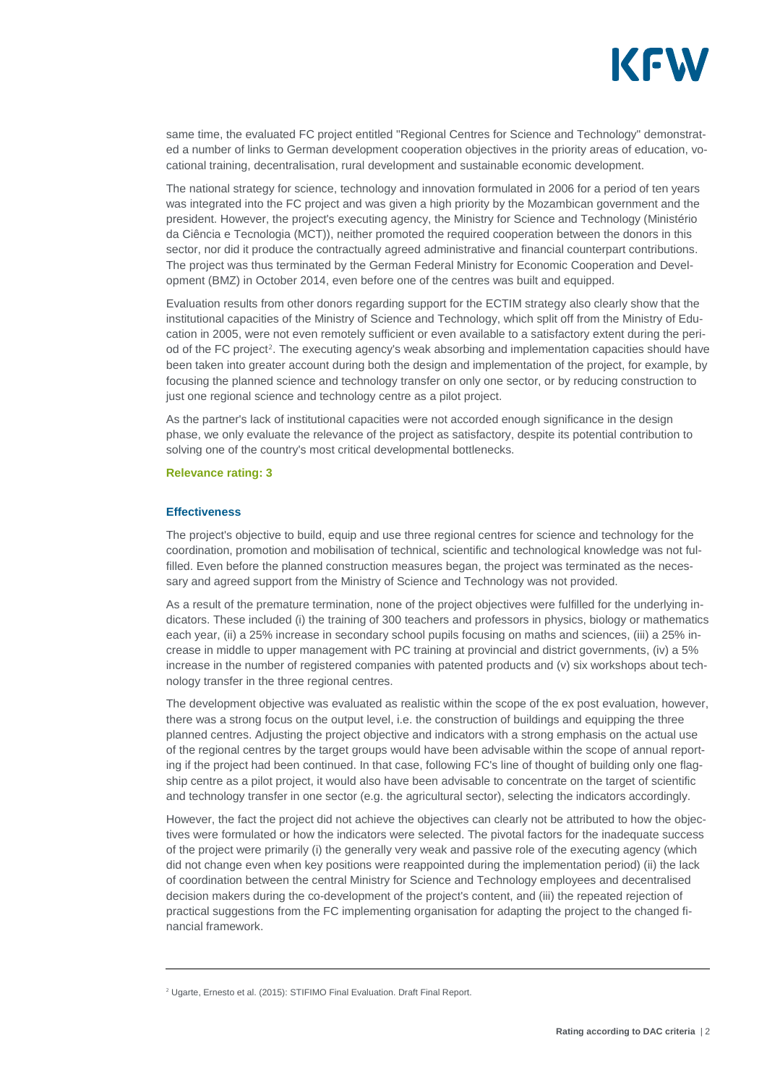

same time, the evaluated FC project entitled "Regional Centres for Science and Technology" demonstrated a number of links to German development cooperation objectives in the priority areas of education, vocational training, decentralisation, rural development and sustainable economic development.

The national strategy for science, technology and innovation formulated in 2006 for a period of ten years was integrated into the FC project and was given a high priority by the Mozambican government and the president. However, the project's executing agency, the Ministry for Science and Technology (Ministério da Ciência e Tecnologia (MCT)), neither promoted the required cooperation between the donors in this sector, nor did it produce the contractually agreed administrative and financial counterpart contributions. The project was thus terminated by the German Federal Ministry for Economic Cooperation and Development (BMZ) in October 2014, even before one of the centres was built and equipped.

Evaluation results from other donors regarding support for the ECTIM strategy also clearly show that the institutional capacities of the Ministry of Science and Technology, which split off from the Ministry of Education in 2005, were not even remotely sufficient or even available to a satisfactory extent during the period of the FC project[2](#page-2-0). The executing agency's weak absorbing and implementation capacities should have been taken into greater account during both the design and implementation of the project, for example, by focusing the planned science and technology transfer on only one sector, or by reducing construction to just one regional science and technology centre as a pilot project.

As the partner's lack of institutional capacities were not accorded enough significance in the design phase, we only evaluate the relevance of the project as satisfactory, despite its potential contribution to solving one of the country's most critical developmental bottlenecks.

#### **Relevance rating: 3**

#### **Effectiveness**

The project's objective to build, equip and use three regional centres for science and technology for the coordination, promotion and mobilisation of technical, scientific and technological knowledge was not fulfilled. Even before the planned construction measures began, the project was terminated as the necessary and agreed support from the Ministry of Science and Technology was not provided.

As a result of the premature termination, none of the project objectives were fulfilled for the underlying indicators. These included (i) the training of 300 teachers and professors in physics, biology or mathematics each year, (ii) a 25% increase in secondary school pupils focusing on maths and sciences, (iii) a 25% increase in middle to upper management with PC training at provincial and district governments, (iv) a 5% increase in the number of registered companies with patented products and (v) six workshops about technology transfer in the three regional centres.

The development objective was evaluated as realistic within the scope of the ex post evaluation, however, there was a strong focus on the output level, i.e. the construction of buildings and equipping the three planned centres. Adjusting the project objective and indicators with a strong emphasis on the actual use of the regional centres by the target groups would have been advisable within the scope of annual reporting if the project had been continued. In that case, following FC's line of thought of building only one flagship centre as a pilot project, it would also have been advisable to concentrate on the target of scientific and technology transfer in one sector (e.g. the agricultural sector), selecting the indicators accordingly.

However, the fact the project did not achieve the objectives can clearly not be attributed to how the objectives were formulated or how the indicators were selected. The pivotal factors for the inadequate success of the project were primarily (i) the generally very weak and passive role of the executing agency (which did not change even when key positions were reappointed during the implementation period) (ii) the lack of coordination between the central Ministry for Science and Technology employees and decentralised decision makers during the co-development of the project's content, and (iii) the repeated rejection of practical suggestions from the FC implementing organisation for adapting the project to the changed financial framework.

<span id="page-2-0"></span><sup>&</sup>lt;sup>2</sup> Ugarte, Ernesto et al. (2015): STIFIMO Final Evaluation. Draft Final Report.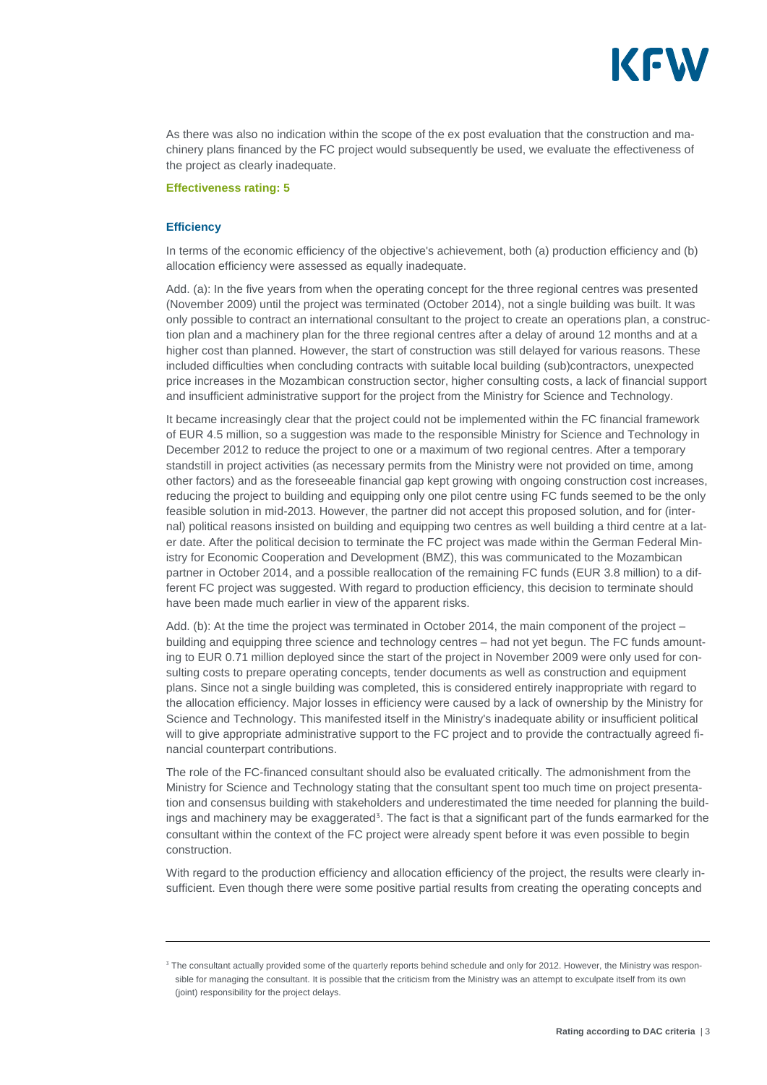

As there was also no indication within the scope of the ex post evaluation that the construction and machinery plans financed by the FC project would subsequently be used, we evaluate the effectiveness of the project as clearly inadequate.

#### **Effectiveness rating: 5**

#### **Efficiency**

In terms of the economic efficiency of the objective's achievement, both (a) production efficiency and (b) allocation efficiency were assessed as equally inadequate.

Add. (a): In the five years from when the operating concept for the three regional centres was presented (November 2009) until the project was terminated (October 2014), not a single building was built. It was only possible to contract an international consultant to the project to create an operations plan, a construction plan and a machinery plan for the three regional centres after a delay of around 12 months and at a higher cost than planned. However, the start of construction was still delayed for various reasons. These included difficulties when concluding contracts with suitable local building (sub)contractors, unexpected price increases in the Mozambican construction sector, higher consulting costs, a lack of financial support and insufficient administrative support for the project from the Ministry for Science and Technology.

It became increasingly clear that the project could not be implemented within the FC financial framework of EUR 4.5 million, so a suggestion was made to the responsible Ministry for Science and Technology in December 2012 to reduce the project to one or a maximum of two regional centres. After a temporary standstill in project activities (as necessary permits from the Ministry were not provided on time, among other factors) and as the foreseeable financial gap kept growing with ongoing construction cost increases, reducing the project to building and equipping only one pilot centre using FC funds seemed to be the only feasible solution in mid-2013. However, the partner did not accept this proposed solution, and for (internal) political reasons insisted on building and equipping two centres as well building a third centre at a later date. After the political decision to terminate the FC project was made within the German Federal Ministry for Economic Cooperation and Development (BMZ), this was communicated to the Mozambican partner in October 2014, and a possible reallocation of the remaining FC funds (EUR 3.8 million) to a different FC project was suggested. With regard to production efficiency, this decision to terminate should have been made much earlier in view of the apparent risks.

Add. (b): At the time the project was terminated in October 2014, the main component of the project – building and equipping three science and technology centres – had not yet begun. The FC funds amounting to EUR 0.71 million deployed since the start of the project in November 2009 were only used for consulting costs to prepare operating concepts, tender documents as well as construction and equipment plans. Since not a single building was completed, this is considered entirely inappropriate with regard to the allocation efficiency. Major losses in efficiency were caused by a lack of ownership by the Ministry for Science and Technology. This manifested itself in the Ministry's inadequate ability or insufficient political will to give appropriate administrative support to the FC project and to provide the contractually agreed financial counterpart contributions.

The role of the FC-financed consultant should also be evaluated critically. The admonishment from the Ministry for Science and Technology stating that the consultant spent too much time on project presentation and consensus building with stakeholders and underestimated the time needed for planning the build-ings and machinery may be exaggerated<sup>[3](#page-3-0)</sup>. The fact is that a significant part of the funds earmarked for the consultant within the context of the FC project were already spent before it was even possible to begin construction.

With regard to the production efficiency and allocation efficiency of the project, the results were clearly insufficient. Even though there were some positive partial results from creating the operating concepts and

<span id="page-3-0"></span><sup>&</sup>lt;sup>3</sup> The consultant actually provided some of the quarterly reports behind schedule and only for 2012. However, the Ministry was responsible for managing the consultant. It is possible that the criticism from the Ministry was an attempt to exculpate itself from its own (joint) responsibility for the project delays.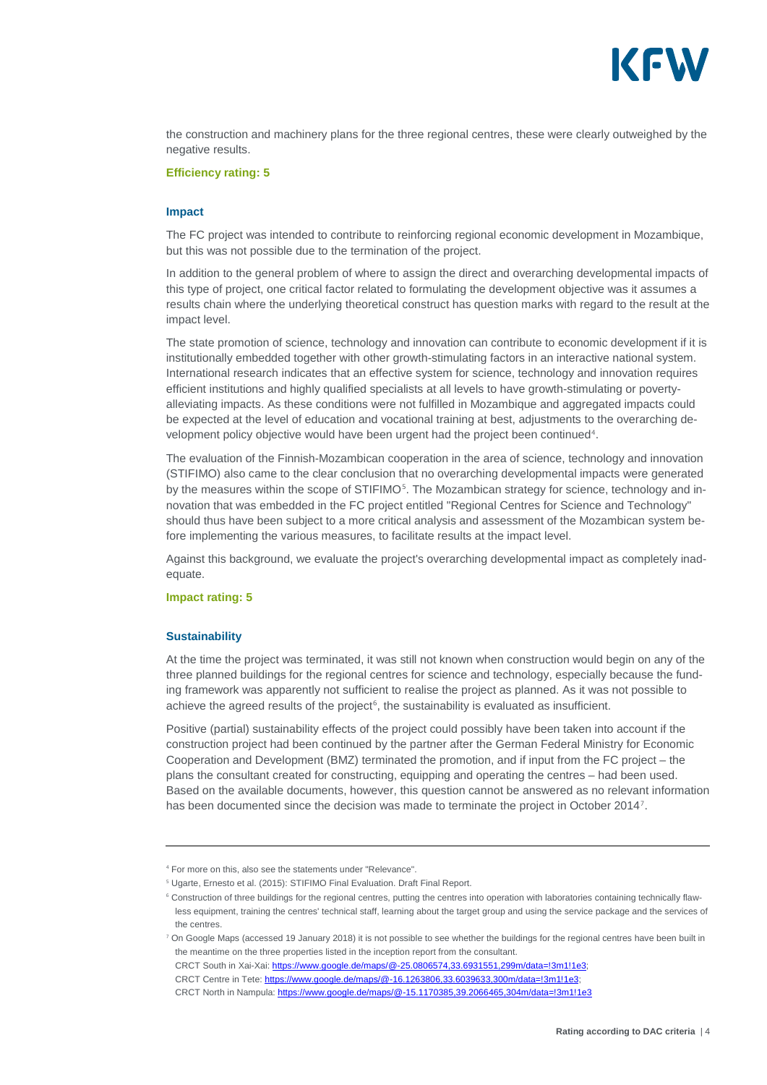

the construction and machinery plans for the three regional centres, these were clearly outweighed by the negative results.

#### **Efficiency rating: 5**

#### **Impact**

The FC project was intended to contribute to reinforcing regional economic development in Mozambique, but this was not possible due to the termination of the project.

In addition to the general problem of where to assign the direct and overarching developmental impacts of this type of project, one critical factor related to formulating the development objective was it assumes a results chain where the underlying theoretical construct has question marks with regard to the result at the impact level.

The state promotion of science, technology and innovation can contribute to economic development if it is institutionally embedded together with other growth-stimulating factors in an interactive national system. International research indicates that an effective system for science, technology and innovation requires efficient institutions and highly qualified specialists at all levels to have growth-stimulating or povertyalleviating impacts. As these conditions were not fulfilled in Mozambique and aggregated impacts could be expected at the level of education and vocational training at best, adjustments to the overarching development policy objective would have been urgent had the project been continued[4](#page-4-0).

The evaluation of the Finnish-Mozambican cooperation in the area of science, technology and innovation (STIFIMO) also came to the clear conclusion that no overarching developmental impacts were generated by the measures within the scope of STIFIMO<sup>[5](#page-4-1)</sup>. The Mozambican strategy for science, technology and innovation that was embedded in the FC project entitled "Regional Centres for Science and Technology" should thus have been subject to a more critical analysis and assessment of the Mozambican system before implementing the various measures, to facilitate results at the impact level.

Against this background, we evaluate the project's overarching developmental impact as completely inadequate.

#### **Impact rating: 5**

#### **Sustainability**

At the time the project was terminated, it was still not known when construction would begin on any of the three planned buildings for the regional centres for science and technology, especially because the funding framework was apparently not sufficient to realise the project as planned. As it was not possible to achieve the agreed results of the project $6$ , the sustainability is evaluated as insufficient.

Positive (partial) sustainability effects of the project could possibly have been taken into account if the construction project had been continued by the partner after the German Federal Ministry for Economic Cooperation and Development (BMZ) terminated the promotion, and if input from the FC project – the plans the consultant created for constructing, equipping and operating the centres – had been used. Based on the available documents, however, this question cannot be answered as no relevant information has been documented since the decision was made to terminate the project in October 2014<sup>[7](#page-4-3)</sup>.

<span id="page-4-1"></span><span id="page-4-0"></span><sup>4</sup> For more on this, also see the statements under "Relevance".

<sup>5</sup> Ugarte, Ernesto et al. (2015): STIFIMO Final Evaluation. Draft Final Report.

<span id="page-4-2"></span><sup>6</sup> Construction of three buildings for the regional centres, putting the centres into operation with laboratories containing technically flawless equipment, training the centres' technical staff, learning about the target group and using the service package and the services of the centres.

<span id="page-4-3"></span><sup>7</sup> On Google Maps (accessed 19 January 2018) it is not possible to see whether the buildings for the regional centres have been built in the meantime on the three properties listed in the inception report from the consultant.

CRCT South in Xai-Xai[: https://www.google.de/maps/@-25.0806574,33.6931551,299m/data=!3m1!1e3;](https://www.google.de/maps/@-25.0806574,33.6931551,299m/data=!3m1!1e3)

CRCT Centre in Tete: https://www.google.de/maps/@-16.1263806,33.6039633,300m/data=!3m1!1e3;

CRCT North in Nampula:<https://www.google.de/maps/@-15.1170385,39.2066465,304m/data=!3m1!1e3>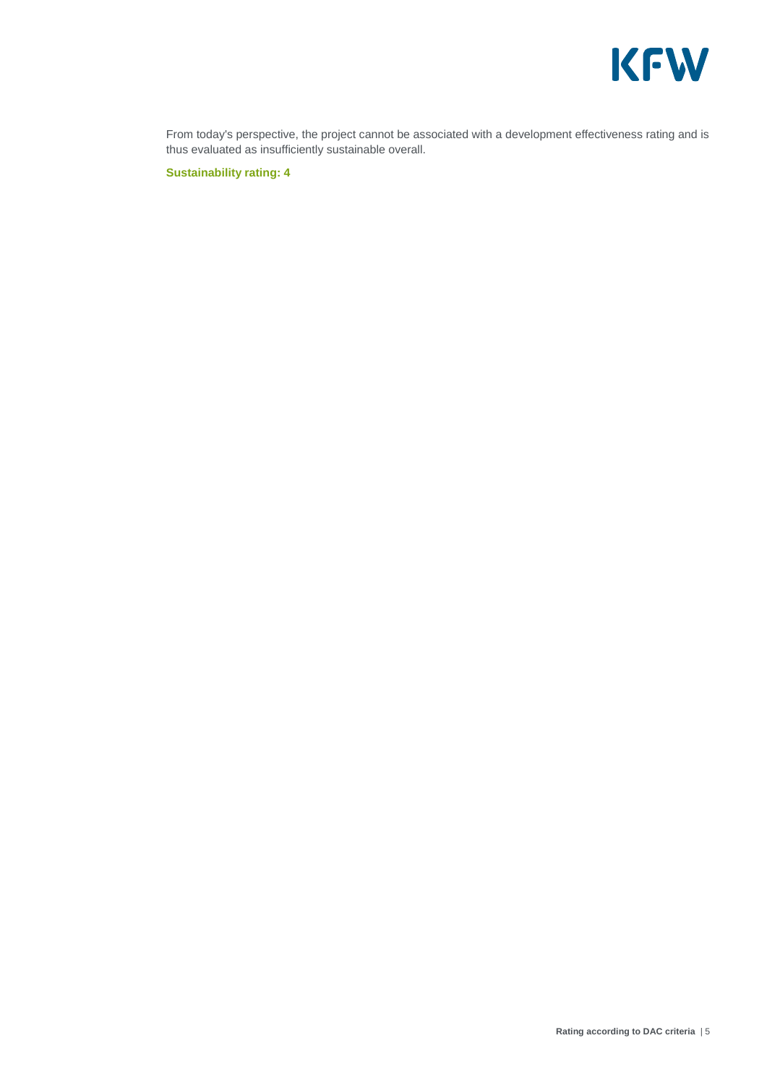

From today's perspective, the project cannot be associated with a development effectiveness rating and is thus evaluated as insufficiently sustainable overall.

**Sustainability rating: 4**